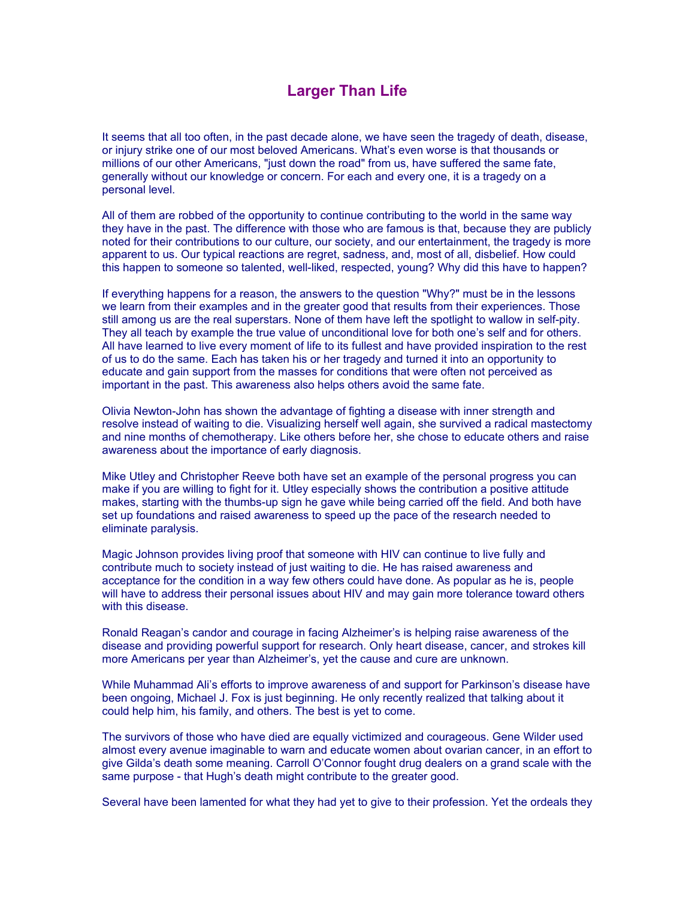## **Larger Than Life**

It seems that all too often, in the past decade alone, we have seen the tragedy of death, disease, or injury strike one of our most beloved Americans. What's even worse is that thousands or millions of our other Americans, "just down the road" from us, have suffered the same fate, generally without our knowledge or concern. For each and every one, it is a tragedy on a personal level.

All of them are robbed of the opportunity to continue contributing to the world in the same way they have in the past. The difference with those who are famous is that, because they are publicly noted for their contributions to our culture, our society, and our entertainment, the tragedy is more apparent to us. Our typical reactions are regret, sadness, and, most of all, disbelief. How could this happen to someone so talented, well-liked, respected, young? Why did this have to happen?

If everything happens for a reason, the answers to the question "Why?" must be in the lessons we learn from their examples and in the greater good that results from their experiences. Those still among us are the real superstars. None of them have left the spotlight to wallow in self-pity. They all teach by example the true value of unconditional love for both one's self and for others. All have learned to live every moment of life to its fullest and have provided inspiration to the rest of us to do the same. Each has taken his or her tragedy and turned it into an opportunity to educate and gain support from the masses for conditions that were often not perceived as important in the past. This awareness also helps others avoid the same fate.

Olivia Newton-John has shown the advantage of fighting a disease with inner strength and resolve instead of waiting to die. Visualizing herself well again, she survived a radical mastectomy and nine months of chemotherapy. Like others before her, she chose to educate others and raise awareness about the importance of early diagnosis.

Mike Utley and Christopher Reeve both have set an example of the personal progress you can make if you are willing to fight for it. Utley especially shows the contribution a positive attitude makes, starting with the thumbs-up sign he gave while being carried off the field. And both have set up foundations and raised awareness to speed up the pace of the research needed to eliminate paralysis.

Magic Johnson provides living proof that someone with HIV can continue to live fully and contribute much to society instead of just waiting to die. He has raised awareness and acceptance for the condition in a way few others could have done. As popular as he is, people will have to address their personal issues about HIV and may gain more tolerance toward others with this disease.

Ronald Reagan's candor and courage in facing Alzheimer's is helping raise awareness of the disease and providing powerful support for research. Only heart disease, cancer, and strokes kill more Americans per year than Alzheimer's, yet the cause and cure are unknown.

While Muhammad Ali's efforts to improve awareness of and support for Parkinson's disease have been ongoing, Michael J. Fox is just beginning. He only recently realized that talking about it could help him, his family, and others. The best is yet to come.

The survivors of those who have died are equally victimized and courageous. Gene Wilder used almost every avenue imaginable to warn and educate women about ovarian cancer, in an effort to give Gilda's death some meaning. Carroll O'Connor fought drug dealers on a grand scale with the same purpose - that Hugh's death might contribute to the greater good.

Several have been lamented for what they had yet to give to their profession. Yet the ordeals they